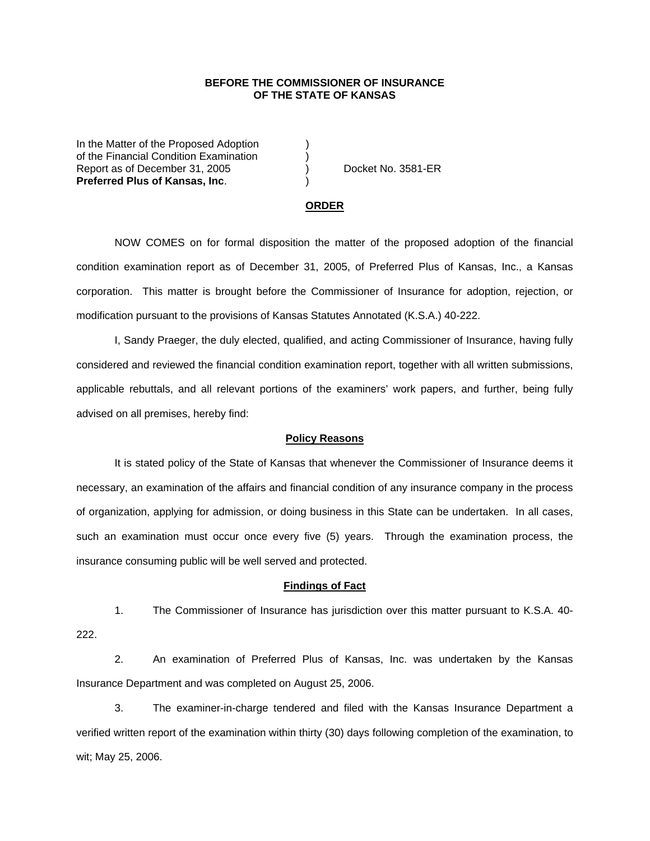## **BEFORE THE COMMISSIONER OF INSURANCE OF THE STATE OF KANSAS**

In the Matter of the Proposed Adoption of the Financial Condition Examination ) Report as of December 31, 2005 (and Separate No. 3581-ER **Preferred Plus of Kansas, Inc**. )

#### **ORDER**

 NOW COMES on for formal disposition the matter of the proposed adoption of the financial condition examination report as of December 31, 2005, of Preferred Plus of Kansas, Inc., a Kansas corporation. This matter is brought before the Commissioner of Insurance for adoption, rejection, or modification pursuant to the provisions of Kansas Statutes Annotated (K.S.A.) 40-222.

 I, Sandy Praeger, the duly elected, qualified, and acting Commissioner of Insurance, having fully considered and reviewed the financial condition examination report, together with all written submissions, applicable rebuttals, and all relevant portions of the examiners' work papers, and further, being fully advised on all premises, hereby find:

### **Policy Reasons**

 It is stated policy of the State of Kansas that whenever the Commissioner of Insurance deems it necessary, an examination of the affairs and financial condition of any insurance company in the process of organization, applying for admission, or doing business in this State can be undertaken. In all cases, such an examination must occur once every five (5) years. Through the examination process, the insurance consuming public will be well served and protected.

#### **Findings of Fact**

 1. The Commissioner of Insurance has jurisdiction over this matter pursuant to K.S.A. 40- 222.

 2. An examination of Preferred Plus of Kansas, Inc. was undertaken by the Kansas Insurance Department and was completed on August 25, 2006.

 3. The examiner-in-charge tendered and filed with the Kansas Insurance Department a verified written report of the examination within thirty (30) days following completion of the examination, to wit; May 25, 2006.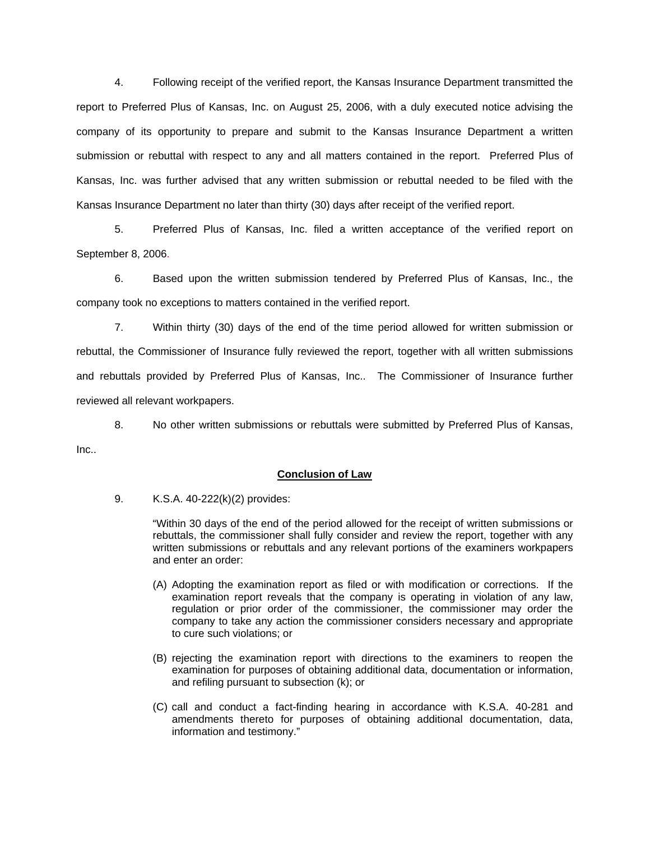4. Following receipt of the verified report, the Kansas Insurance Department transmitted the report to Preferred Plus of Kansas, Inc. on August 25, 2006, with a duly executed notice advising the company of its opportunity to prepare and submit to the Kansas Insurance Department a written submission or rebuttal with respect to any and all matters contained in the report. Preferred Plus of Kansas, Inc. was further advised that any written submission or rebuttal needed to be filed with the Kansas Insurance Department no later than thirty (30) days after receipt of the verified report.

 5. Preferred Plus of Kansas, Inc. filed a written acceptance of the verified report on September 8, 2006.

6. Based upon the written submission tendered by Preferred Plus of Kansas, Inc., the company took no exceptions to matters contained in the verified report.

 7. Within thirty (30) days of the end of the time period allowed for written submission or rebuttal, the Commissioner of Insurance fully reviewed the report, together with all written submissions and rebuttals provided by Preferred Plus of Kansas, Inc.. The Commissioner of Insurance further reviewed all relevant workpapers.

 8. No other written submissions or rebuttals were submitted by Preferred Plus of Kansas, Inc..

# **Conclusion of Law**

9. K.S.A. 40-222(k)(2) provides:

"Within 30 days of the end of the period allowed for the receipt of written submissions or rebuttals, the commissioner shall fully consider and review the report, together with any written submissions or rebuttals and any relevant portions of the examiners workpapers and enter an order:

- (A) Adopting the examination report as filed or with modification or corrections. If the examination report reveals that the company is operating in violation of any law, regulation or prior order of the commissioner, the commissioner may order the company to take any action the commissioner considers necessary and appropriate to cure such violations; or
- (B) rejecting the examination report with directions to the examiners to reopen the examination for purposes of obtaining additional data, documentation or information, and refiling pursuant to subsection (k); or
- (C) call and conduct a fact-finding hearing in accordance with K.S.A. 40-281 and amendments thereto for purposes of obtaining additional documentation, data, information and testimony."